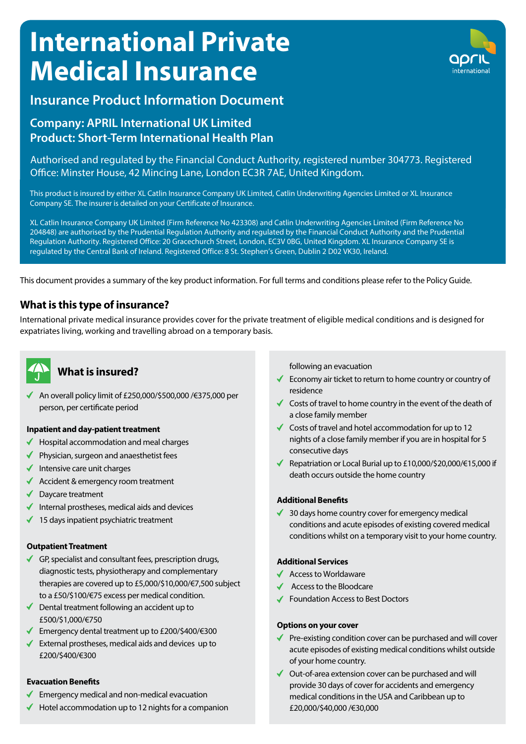# **International Private Medical Insurance**



# **Insurance Product Information Document**

# **Company: APRIL International UK Limited Product: Short-Term International Health Plan**

Authorised and regulated by the Financial Conduct Authority, registered number 304773. Registered Office: Minster House, 42 Mincing Lane, London EC3R 7AE, United Kingdom.

This product is insured by either XL Catlin Insurance Company UK Limited, Catlin Underwriting Agencies Limited or XL Insurance Company SE. The insurer is detailed on your Certificate of Insurance.

XL Catlin Insurance Company UK Limited (Firm Reference No 423308) and Catlin Underwriting Agencies Limited (Firm Reference No 204848) are authorised by the Prudential Regulation Authority and regulated by the Financial Conduct Authority and the Prudential Regulation Authority. Registered Office: 20 Gracechurch Street, London, EC3V 0BG, United Kingdom. XL Insurance Company SE is regulated by the Central Bank of Ireland. Registered Office: 8 St. Stephen's Green, Dublin 2 D02 VK30, Ireland.

This document provides a summary of the key product information. For full terms and conditions please refer to the Policy Guide.

## **What is this type of insurance?**

International private medical insurance provides cover for the private treatment of eligible medical conditions and is designed for expatriates living, working and travelling abroad on a temporary basis.



# **What is insured?** *Mhat* is insured?

An overall policy limit of £250,000/\$500,000 /€375,000 per person, per certificate period

#### **Inpatient and day-patient treatment**

- Hospital accommodation and meal charges
- ◆ Physician, surgeon and anaesthetist fees
- $\blacklozenge$  Intensive care unit charges
- $\triangleleft$  Accident & emergency room treatment
- ◆ Daycare treatment
- $\blacklozenge$  Internal prostheses, medical aids and devices
- $\blacklozenge$  15 days inpatient psychiatric treatment

#### **Outpatient Treatment**

- GP, specialist and consultant fees, prescription drugs, diagnostic tests, physiotherapy and complementary therapies are covered up to £5,000/\$10,000/€7,500 subject to a £50/\$100/€75 excess per medical condition.
- ◆ Dental treatment following an accident up to £500/\$1,000/€750
- Emergency dental treatment up to £200/\$400/€300
- External prostheses, medical aids and devices up to  $\checkmark$ £200/\$400/€300

#### **Evacuation Benefits**

- Emergency medical and non-medical evacuation  $\checkmark$
- $\blacklozenge$  Hotel accommodation up to 12 nights for a companion

- $\checkmark$  Economy air ticket to return to home country or country of residence
- $\checkmark$  Costs of travel to home country in the event of the death of a close family member
- ◆ Costs of travel and hotel accommodation for up to 12 nights of a close family member if you are in hospital for 5 consecutive days
- Repatriation or Local Burial up to £10,000/\$20,000/€15,000 if death occurs outside the home country

#### **Additional Benefits**

 $\triangleleft$  30 days home country cover for emergency medical conditions and acute episodes of existing covered medical conditions whilst on a temporary visit to your home country.

#### **Additional Services**

- ◆ Access to Worldaware
- Access to the Bloodcare
- Foundation Access to Best Doctors

#### **Options on your cover**

- $\checkmark$ Pre-existing condition cover can be purchased and will cover acute episodes of existing medical conditions whilst outside of your home country.
- ◆ Out-of-area extension cover can be purchased and will provide 30 days of cover for accidents and emergency medical conditions in the USA and Caribbean up to £20,000/\$40,000 /€30,000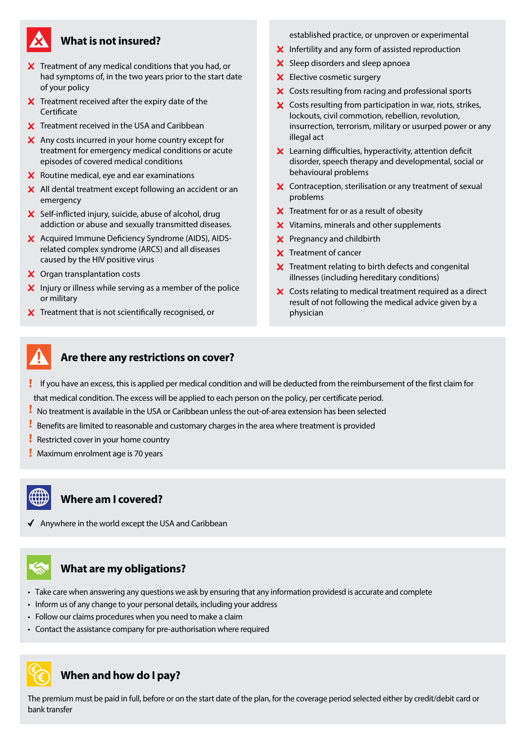

### **What is not insured?**

- $\boldsymbol{\times}$  Treatment of any medical conditions that you had, or had symptoms of, in the two years prior to the start date of your policy
- $\boldsymbol{\times}$  Treatment received after the expiry date of the **Certificate**
- $\boldsymbol{\times}$  Treatment received in the USA and Caribbean
- X Any costs incurred in your home country except for treatment for emergency medical conditions or acute episodes of covered medical conditions
- $X$  Routine medical, eye and ear examinations
- $\boldsymbol{\times}$  All dental treatment except following an accident or an emergency
- $\boldsymbol{\times}$  Self-inflicted injury, suicide, abuse of alcohol, drug addiction or abuse and sexually transmitted diseases.
- X Acquired Immune Deficiency Syndrome (AIDS), AIDSrelated complex syndrome (ARCS) and all diseases caused by the HIV positive virus
- X Organ transplantation costs
- $\boldsymbol{\times}$  Injury or illness while serving as a member of the police or military
- $\boldsymbol{\times}$  Treatment that is not scientifically recognised, or

established practice, or unproven or experimental

- $\boldsymbol{\times}$  Infertility and any form of assisted reproduction
- X Sleep disorders and sleep apnoea
- **X** Elective cosmetic surgery
- X Costs resulting from racing and professional sports
- X Costs resulting from participation in war, riots, strikes, lockouts, civil commotion, rebellion, revolution, insurrection, terrorism, military or usurped power or any illegal act
- $\boldsymbol{\times}$  Learning difficulties, hyperactivity, attention deficit disorder, speech therapy and developmental, social or behavioural problems
- X Contraception, sterilisation or any treatment of sexual problems
- $\boldsymbol{\times}$  Treatment for or as a result of obesity
- X Vitamins, minerals and other supplements
- **X** Pregnancy and childbirth
- X Treatment of cancer
- $\boldsymbol{X}$  Treatment relating to birth defects and congenital illnesses (including hereditary conditions)
- X Costs relating to medical treatment required as a direct result of not following the medical advice given by a physician



## **Are there any restrictions on cover?**

- If you have an excess, this is applied per medical condition and will be deducted from the reimbursement of the first claim for that medical condition. The excess will be applied to each person on the policy, per certificate period.
- No treatment is available in the USA or Caribbean unless the out-of-area extension has been selected
- Benefits are limited to reasonable and customary charges in the area where treatment is provided
- Restricted cover in your home country
- **Maximum enrolment age is 70 years**

# **Where am I covered?**

- 
- $\blacklozenge$  Anywhere in the world except the USA and Caribbean

# **What are my obligations?**

- Take care when answering any questions we ask by ensuring that any information providesd is accurate and complete
- Inform us of any change to your personal details, including your address
- Follow our claims procedures when you need to make a claim
- Contact the assistance company for pre-authorisation where required



## **When and how do I pay?**

The premium must be paid in full, before or on the start date of the plan, for the coverage period selected either by credit/debit card or bank transfer